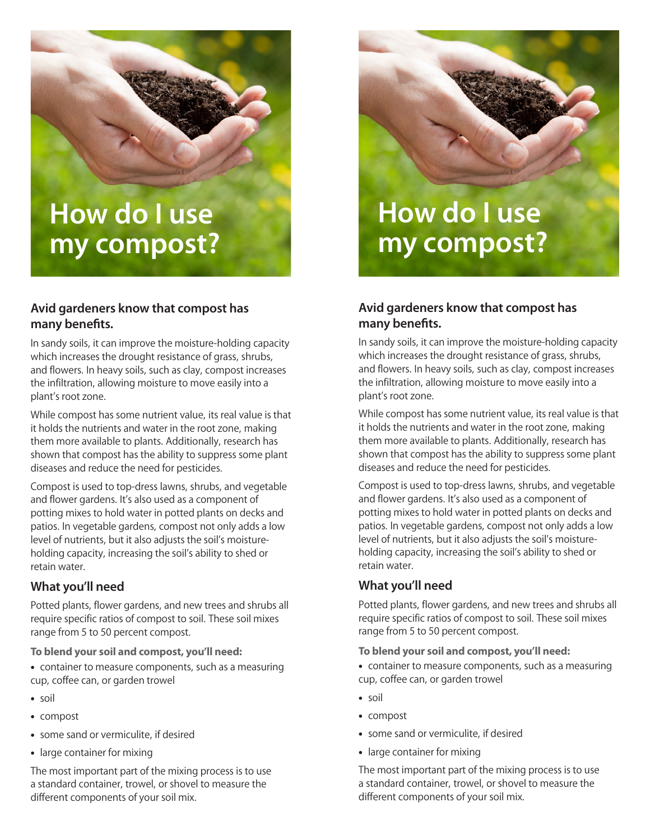# **How do I use my compost?**

# **Avid gardeners know that compost has many benefits.**

In sandy soils, it can improve the moisture-holding capacity which increases the drought resistance of grass, shrubs, and flowers. In heavy soils, such as clay, compost increases the infiltration, allowing moisture to move easily into a plant's root zone.

While compost has some nutrient value, its real value is that it holds the nutrients and water in the root zone, making them more available to plants. Additionally, research has shown that compost has the ability to suppress some plant diseases and reduce the need for pesticides.

Compost is used to top-dress lawns, shrubs, and vegetable and flower gardens. It's also used as a component of potting mixes to hold water in potted plants on decks and patios. In vegetable gardens, compost not only adds a low level of nutrients, but it also adjusts the soil's moistureholding capacity, increasing the soil's ability to shed or retain water.

# **What you'll need**

Potted plants, flower gardens, and new trees and shrubs all require specific ratios of compost to soil. These soil mixes range from 5 to 50 percent compost.

**To blend your soil and compost, you'll need:**

- container to measure components, such as a measuring cup, coffee can, or garden trowel
- • soil
- • compost
- some sand or vermiculite, if desired
- large container for mixing

The most important part of the mixing process is to use a standard container, trowel, or shovel to measure the different components of your soil mix.



# **Avid gardeners know that compost has many benefits.**

In sandy soils, it can improve the moisture-holding capacity which increases the drought resistance of grass, shrubs, and flowers. In heavy soils, such as clay, compost increases the infiltration, allowing moisture to move easily into a plant's root zone.

While compost has some nutrient value, its real value is that it holds the nutrients and water in the root zone, making them more available to plants. Additionally, research has shown that compost has the ability to suppress some plant diseases and reduce the need for pesticides.

Compost is used to top-dress lawns, shrubs, and vegetable and flower gardens. It's also used as a component of potting mixes to hold water in potted plants on decks and patios. In vegetable gardens, compost not only adds a low level of nutrients, but it also adjusts the soil's moistureholding capacity, increasing the soil's ability to shed or retain water.

# **What you'll need**

Potted plants, flower gardens, and new trees and shrubs all require specific ratios of compost to soil. These soil mixes range from 5 to 50 percent compost.

**To blend your soil and compost, you'll need:**

- container to measure components, such as a measuring cup, coffee can, or garden trowel
- soil
- • compost
- some sand or vermiculite, if desired
- large container for mixing

The most important part of the mixing process is to use a standard container, trowel, or shovel to measure the different components of your soil mix.